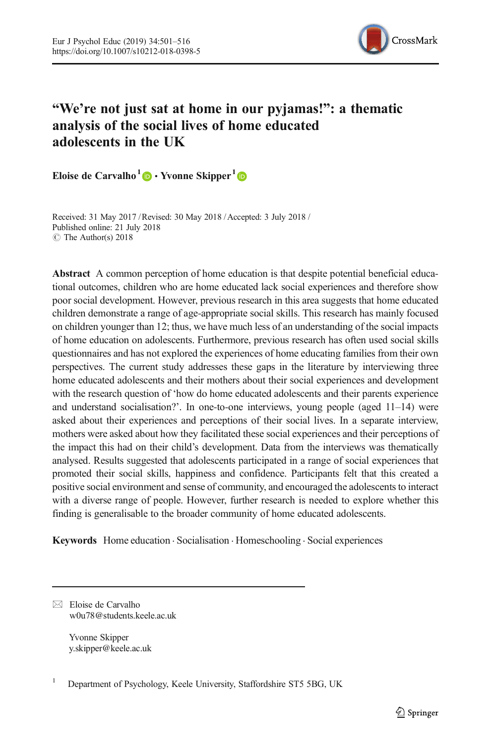

# "We're not just sat at home in our pyjamas!": a thematic analysis of the social lives of home educated adolescents in the UK

Eloise de Carvalho<sup>1</sup>  $\bullet$  Yvonne Skipper<sup>1</sup>  $\bullet$ 

Received: 31 May 2017 / Revised: 30 May 2018 / Accepted: 3 July 2018 / Published online: 21 July 2018  $\circ$  The Author(s) 2018

Abstract A common perception of home education is that despite potential beneficial educational outcomes, children who are home educated lack social experiences and therefore show poor social development. However, previous research in this area suggests that home educated children demonstrate a range of age-appropriate social skills. This research has mainly focused on children younger than 12; thus, we have much less of an understanding of the social impacts of home education on adolescents. Furthermore, previous research has often used social skills questionnaires and has not explored the experiences of home educating families from their own perspectives. The current study addresses these gaps in the literature by interviewing three home educated adolescents and their mothers about their social experiences and development with the research question of 'how do home educated adolescents and their parents experience and understand socialisation?'. In one-to-one interviews, young people (aged 11–14) were asked about their experiences and perceptions of their social lives. In a separate interview, mothers were asked about how they facilitated these social experiences and their perceptions of the impact this had on their child's development. Data from the interviews was thematically analysed. Results suggested that adolescents participated in a range of social experiences that promoted their social skills, happiness and confidence. Participants felt that this created a positive social environment and sense of community, and encouraged the adolescents to interact with a diverse range of people. However, further research is needed to explore whether this finding is generalisable to the broader community of home educated adolescents.

Keywords Home education . Socialisation . Homeschooling . Social experiences

 $\boxtimes$  Eloise de Carvalho [w0u78@students.keele.ac.uk](mailto:w0u78@students.keele.ac.uk)

> Yvonne Skipper y.skipper@keele.ac.uk

<sup>1</sup> Department of Psychology, Keele University, Staffordshire ST5 5BG, UK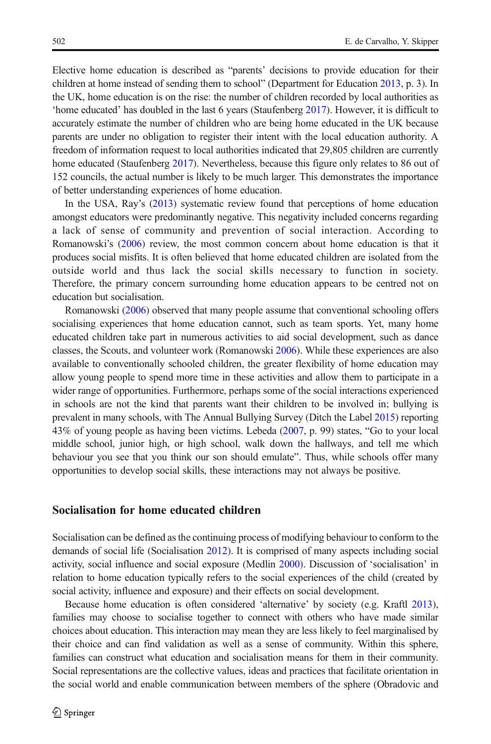Elective home education is described as "parents' decisions to provide education for their children at home instead of sending them to school" (Department for Education [2013,](#page-14-0) p. 3). In the UK, home education is on the rise: the number of children recorded by local authorities as 'home educated' has doubled in the last 6 years (Staufenberg [2017](#page-15-0)). However, it is difficult to accurately estimate the number of children who are being home educated in the UK because parents are under no obligation to register their intent with the local education authority. A freedom of information request to local authorities indicated that 29,805 children are currently home educated (Staufenberg [2017\)](#page-15-0). Nevertheless, because this figure only relates to 86 out of 152 councils, the actual number is likely to be much larger. This demonstrates the importance of better understanding experiences of home education.

In the USA, Ray's ([2013](#page-14-0)) systematic review found that perceptions of home education amongst educators were predominantly negative. This negativity included concerns regarding a lack of sense of community and prevention of social interaction. According to Romanowski's [\(2006\)](#page-14-0) review, the most common concern about home education is that it produces social misfits. It is often believed that home educated children are isolated from the outside world and thus lack the social skills necessary to function in society. Therefore, the primary concern surrounding home education appears to be centred not on education but socialisation.

Romanowski [\(2006\)](#page-14-0) observed that many people assume that conventional schooling offers socialising experiences that home education cannot, such as team sports. Yet, many home educated children take part in numerous activities to aid social development, such as dance classes, the Scouts, and volunteer work (Romanowski [2006\)](#page-14-0). While these experiences are also available to conventionally schooled children, the greater flexibility of home education may allow young people to spend more time in these activities and allow them to participate in a wider range of opportunities. Furthermore, perhaps some of the social interactions experienced in schools are not the kind that parents want their children to be involved in; bullying is prevalent in many schools, with The Annual Bullying Survey (Ditch the Label [2015\)](#page-14-0) reporting 43% of young people as having been victims. Lebeda [\(2007,](#page-14-0) p. 99) states, "Go to your local middle school, junior high, or high school, walk down the hallways, and tell me which behaviour you see that you think our son should emulate". Thus, while schools offer many opportunities to develop social skills, these interactions may not always be positive.

# Socialisation for home educated children

Socialisation can be defined as the continuing process of modifying behaviour to conform to the demands of social life (Socialisation [2012\)](#page-15-0). It is comprised of many aspects including social activity, social influence and social exposure (Medlin [2000](#page-14-0)). Discussion of 'socialisation' in relation to home education typically refers to the social experiences of the child (created by social activity, influence and exposure) and their effects on social development.

Because home education is often considered 'alternative' by society (e.g. Kraftl [2013](#page-14-0)), families may choose to socialise together to connect with others who have made similar choices about education. This interaction may mean they are less likely to feel marginalised by their choice and can find validation as well as a sense of community. Within this sphere, families can construct what education and socialisation means for them in their community. Social representations are the collective values, ideas and practices that facilitate orientation in the social world and enable communication between members of the sphere (Obradovic and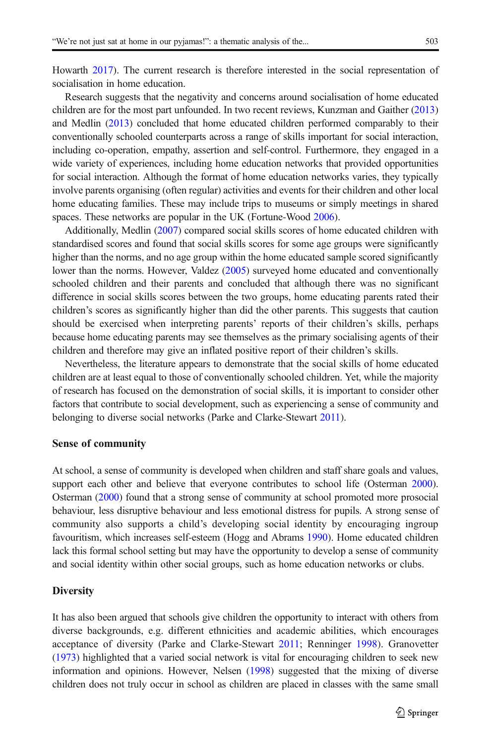Howarth [2017](#page-14-0)). The current research is therefore interested in the social representation of socialisation in home education.

Research suggests that the negativity and concerns around socialisation of home educated children are for the most part unfounded. In two recent reviews, Kunzman and Gaither [\(2013\)](#page-14-0) and Medlin [\(2013\)](#page-14-0) concluded that home educated children performed comparably to their conventionally schooled counterparts across a range of skills important for social interaction, including co-operation, empathy, assertion and self-control. Furthermore, they engaged in a wide variety of experiences, including home education networks that provided opportunities for social interaction. Although the format of home education networks varies, they typically involve parents organising (often regular) activities and events for their children and other local home educating families. These may include trips to museums or simply meetings in shared spaces. These networks are popular in the UK (Fortune-Wood [2006](#page-14-0)).

Additionally, Medlin ([2007](#page-14-0)) compared social skills scores of home educated children with standardised scores and found that social skills scores for some age groups were significantly higher than the norms, and no age group within the home educated sample scored significantly lower than the norms. However, Valdez ([2005](#page-15-0)) surveyed home educated and conventionally schooled children and their parents and concluded that although there was no significant difference in social skills scores between the two groups, home educating parents rated their children's scores as significantly higher than did the other parents. This suggests that caution should be exercised when interpreting parents' reports of their children's skills, perhaps because home educating parents may see themselves as the primary socialising agents of their children and therefore may give an inflated positive report of their children's skills.

Nevertheless, the literature appears to demonstrate that the social skills of home educated children are at least equal to those of conventionally schooled children. Yet, while the majority of research has focused on the demonstration of social skills, it is important to consider other factors that contribute to social development, such as experiencing a sense of community and belonging to diverse social networks (Parke and Clarke-Stewart [2011\)](#page-14-0).

#### Sense of community

At school, a sense of community is developed when children and staff share goals and values, support each other and believe that everyone contributes to school life (Osterman [2000](#page-14-0)). Osterman [\(2000\)](#page-14-0) found that a strong sense of community at school promoted more prosocial behaviour, less disruptive behaviour and less emotional distress for pupils. A strong sense of community also supports a child's developing social identity by encouraging ingroup favouritism, which increases self-esteem (Hogg and Abrams [1990](#page-14-0)). Home educated children lack this formal school setting but may have the opportunity to develop a sense of community and social identity within other social groups, such as home education networks or clubs.

#### **Diversity**

It has also been argued that schools give children the opportunity to interact with others from diverse backgrounds, e.g. different ethnicities and academic abilities, which encourages acceptance of diversity (Parke and Clarke-Stewart [2011](#page-14-0); Renninger [1998\)](#page-14-0). Granovetter ([1973](#page-14-0)) highlighted that a varied social network is vital for encouraging children to seek new information and opinions. However, Nelsen ([1998](#page-14-0)) suggested that the mixing of diverse children does not truly occur in school as children are placed in classes with the same small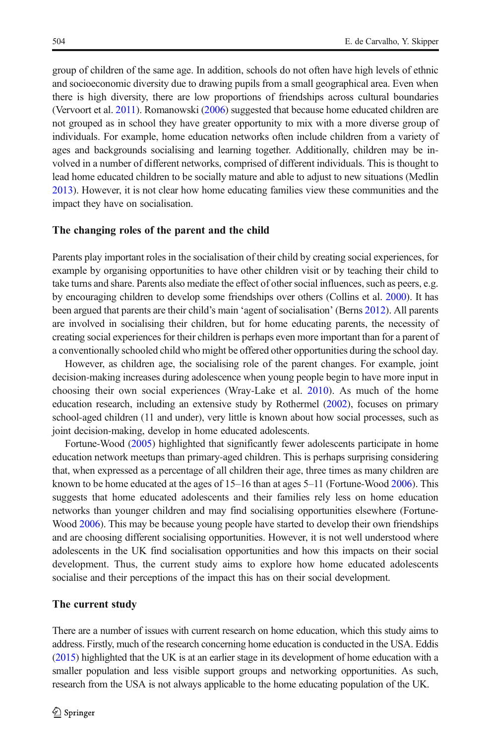group of children of the same age. In addition, schools do not often have high levels of ethnic and socioeconomic diversity due to drawing pupils from a small geographical area. Even when there is high diversity, there are low proportions of friendships across cultural boundaries (Vervoort et al. [2011\)](#page-15-0). Romanowski [\(2006\)](#page-14-0) suggested that because home educated children are not grouped as in school they have greater opportunity to mix with a more diverse group of individuals. For example, home education networks often include children from a variety of ages and backgrounds socialising and learning together. Additionally, children may be involved in a number of different networks, comprised of different individuals. This is thought to lead home educated children to be socially mature and able to adjust to new situations (Medlin [2013](#page-14-0)). However, it is not clear how home educating families view these communities and the impact they have on socialisation.

#### The changing roles of the parent and the child

Parents play important roles in the socialisation of their child by creating social experiences, for example by organising opportunities to have other children visit or by teaching their child to take turns and share. Parents also mediate the effect of other social influences, such as peers, e.g. by encouraging children to develop some friendships over others (Collins et al. [2000\)](#page-14-0). It has been argued that parents are their child's main 'agent of socialisation' (Berns [2012](#page-13-0)). All parents are involved in socialising their children, but for home educating parents, the necessity of creating social experiences for their children is perhaps even more important than for a parent of a conventionally schooled child who might be offered other opportunities during the school day.

However, as children age, the socialising role of the parent changes. For example, joint decision-making increases during adolescence when young people begin to have more input in choosing their own social experiences (Wray-Lake et al. [2010](#page-15-0)). As much of the home education research, including an extensive study by Rothermel [\(2002\)](#page-15-0), focuses on primary school-aged children (11 and under), very little is known about how social processes, such as joint decision-making, develop in home educated adolescents.

Fortune-Wood ([2005](#page-14-0)) highlighted that significantly fewer adolescents participate in home education network meetups than primary-aged children. This is perhaps surprising considering that, when expressed as a percentage of all children their age, three times as many children are known to be home educated at the ages of 15–16 than at ages 5–11 (Fortune-Wood [2006\)](#page-14-0). This suggests that home educated adolescents and their families rely less on home education networks than younger children and may find socialising opportunities elsewhere (Fortune-Wood [2006\)](#page-14-0). This may be because young people have started to develop their own friendships and are choosing different socialising opportunities. However, it is not well understood where adolescents in the UK find socialisation opportunities and how this impacts on their social development. Thus, the current study aims to explore how home educated adolescents socialise and their perceptions of the impact this has on their social development.

#### The current study

There are a number of issues with current research on home education, which this study aims to address. Firstly, much of the research concerning home education is conducted in the USA. Eddis ([2015\)](#page-14-0) highlighted that the UK is at an earlier stage in its development of home education with a smaller population and less visible support groups and networking opportunities. As such, research from the USA is not always applicable to the home educating population of the UK.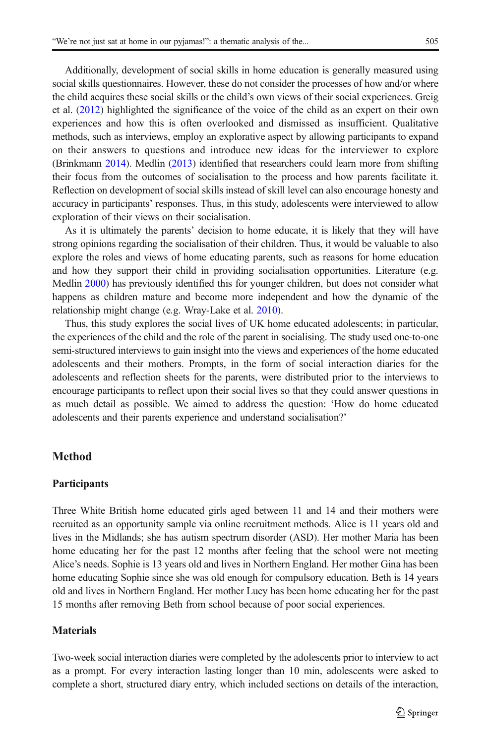Additionally, development of social skills in home education is generally measured using social skills questionnaires. However, these do not consider the processes of how and/or where the child acquires these social skills or the child's own views of their social experiences. Greig et al. [\(2012\)](#page-14-0) highlighted the significance of the voice of the child as an expert on their own experiences and how this is often overlooked and dismissed as insufficient. Qualitative methods, such as interviews, employ an explorative aspect by allowing participants to expand on their answers to questions and introduce new ideas for the interviewer to explore (Brinkmann [2014\)](#page-14-0). Medlin ([2013](#page-14-0)) identified that researchers could learn more from shifting their focus from the outcomes of socialisation to the process and how parents facilitate it. Reflection on development of social skills instead of skill level can also encourage honesty and accuracy in participants' responses. Thus, in this study, adolescents were interviewed to allow exploration of their views on their socialisation.

As it is ultimately the parents' decision to home educate, it is likely that they will have strong opinions regarding the socialisation of their children. Thus, it would be valuable to also explore the roles and views of home educating parents, such as reasons for home education and how they support their child in providing socialisation opportunities. Literature (e.g. Medlin [2000\)](#page-14-0) has previously identified this for younger children, but does not consider what happens as children mature and become more independent and how the dynamic of the relationship might change (e.g. Wray-Lake et al. [2010](#page-15-0)).

Thus, this study explores the social lives of UK home educated adolescents; in particular, the experiences of the child and the role of the parent in socialising. The study used one-to-one semi-structured interviews to gain insight into the views and experiences of the home educated adolescents and their mothers. Prompts, in the form of social interaction diaries for the adolescents and reflection sheets for the parents, were distributed prior to the interviews to encourage participants to reflect upon their social lives so that they could answer questions in as much detail as possible. We aimed to address the question: 'How do home educated adolescents and their parents experience and understand socialisation?'

# **Method**

## **Participants**

Three White British home educated girls aged between 11 and 14 and their mothers were recruited as an opportunity sample via online recruitment methods. Alice is 11 years old and lives in the Midlands; she has autism spectrum disorder (ASD). Her mother Maria has been home educating her for the past 12 months after feeling that the school were not meeting Alice's needs. Sophie is 13 years old and lives in Northern England. Her mother Gina has been home educating Sophie since she was old enough for compulsory education. Beth is 14 years old and lives in Northern England. Her mother Lucy has been home educating her for the past 15 months after removing Beth from school because of poor social experiences.

# **Materials**

Two-week social interaction diaries were completed by the adolescents prior to interview to act as a prompt. For every interaction lasting longer than 10 min, adolescents were asked to complete a short, structured diary entry, which included sections on details of the interaction,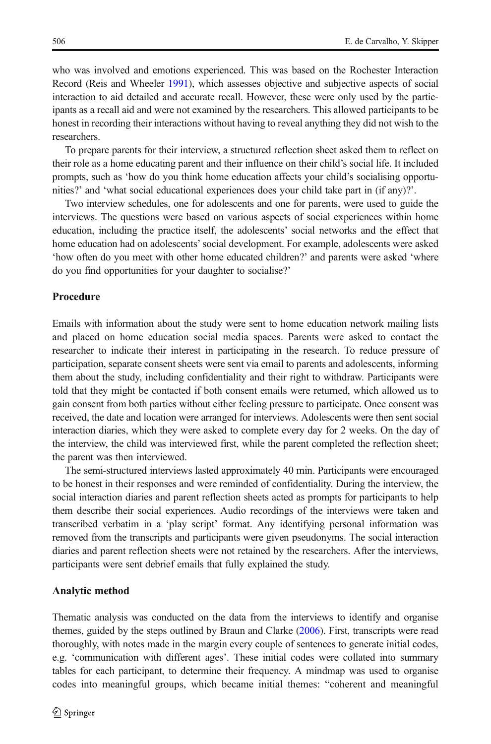who was involved and emotions experienced. This was based on the Rochester Interaction Record (Reis and Wheeler [1991\)](#page-14-0), which assesses objective and subjective aspects of social interaction to aid detailed and accurate recall. However, these were only used by the participants as a recall aid and were not examined by the researchers. This allowed participants to be honest in recording their interactions without having to reveal anything they did not wish to the researchers.

To prepare parents for their interview, a structured reflection sheet asked them to reflect on their role as a home educating parent and their influence on their child's social life. It included prompts, such as 'how do you think home education affects your child's socialising opportunities?' and 'what social educational experiences does your child take part in (if any)?'.

Two interview schedules, one for adolescents and one for parents, were used to guide the interviews. The questions were based on various aspects of social experiences within home education, including the practice itself, the adolescents' social networks and the effect that home education had on adolescents'social development. For example, adolescents were asked 'how often do you meet with other home educated children?' and parents were asked 'where do you find opportunities for your daughter to socialise?'

## Procedure

Emails with information about the study were sent to home education network mailing lists and placed on home education social media spaces. Parents were asked to contact the researcher to indicate their interest in participating in the research. To reduce pressure of participation, separate consent sheets were sent via email to parents and adolescents, informing them about the study, including confidentiality and their right to withdraw. Participants were told that they might be contacted if both consent emails were returned, which allowed us to gain consent from both parties without either feeling pressure to participate. Once consent was received, the date and location were arranged for interviews. Adolescents were then sent social interaction diaries, which they were asked to complete every day for 2 weeks. On the day of the interview, the child was interviewed first, while the parent completed the reflection sheet; the parent was then interviewed.

The semi-structured interviews lasted approximately 40 min. Participants were encouraged to be honest in their responses and were reminded of confidentiality. During the interview, the social interaction diaries and parent reflection sheets acted as prompts for participants to help them describe their social experiences. Audio recordings of the interviews were taken and transcribed verbatim in a 'play script' format. Any identifying personal information was removed from the transcripts and participants were given pseudonyms. The social interaction diaries and parent reflection sheets were not retained by the researchers. After the interviews, participants were sent debrief emails that fully explained the study.

## Analytic method

Thematic analysis was conducted on the data from the interviews to identify and organise themes, guided by the steps outlined by Braun and Clarke [\(2006](#page-13-0)). First, transcripts were read thoroughly, with notes made in the margin every couple of sentences to generate initial codes, e.g. 'communication with different ages'. These initial codes were collated into summary tables for each participant, to determine their frequency. A mindmap was used to organise codes into meaningful groups, which became initial themes: "coherent and meaningful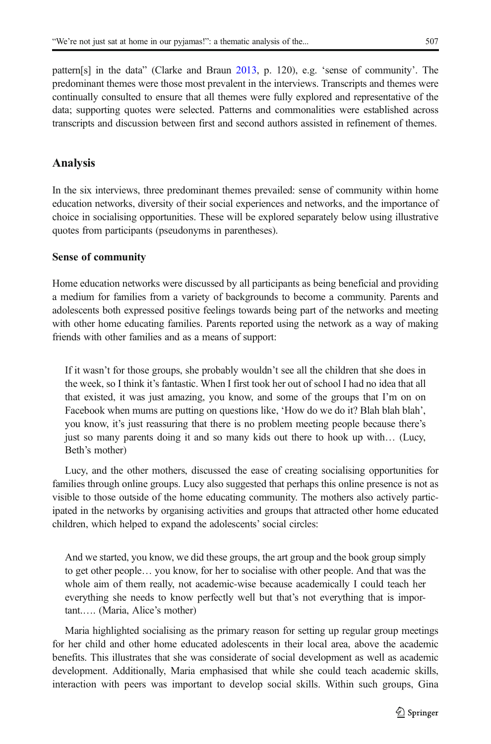pattern[s] in the data" (Clarke and Braun [2013,](#page-14-0) p. 120), e.g. 'sense of community'. The predominant themes were those most prevalent in the interviews. Transcripts and themes were continually consulted to ensure that all themes were fully explored and representative of the data; supporting quotes were selected. Patterns and commonalities were established across transcripts and discussion between first and second authors assisted in refinement of themes.

# Analysis

In the six interviews, three predominant themes prevailed: sense of community within home education networks, diversity of their social experiences and networks, and the importance of choice in socialising opportunities. These will be explored separately below using illustrative quotes from participants (pseudonyms in parentheses).

#### Sense of community

Home education networks were discussed by all participants as being beneficial and providing a medium for families from a variety of backgrounds to become a community. Parents and adolescents both expressed positive feelings towards being part of the networks and meeting with other home educating families. Parents reported using the network as a way of making friends with other families and as a means of support:

If it wasn't for those groups, she probably wouldn't see all the children that she does in the week, so I think it's fantastic. When I first took her out of school I had no idea that all that existed, it was just amazing, you know, and some of the groups that I'm on on Facebook when mums are putting on questions like, 'How do we do it? Blah blah blah', you know, it's just reassuring that there is no problem meeting people because there's just so many parents doing it and so many kids out there to hook up with… (Lucy, Beth's mother)

Lucy, and the other mothers, discussed the ease of creating socialising opportunities for families through online groups. Lucy also suggested that perhaps this online presence is not as visible to those outside of the home educating community. The mothers also actively participated in the networks by organising activities and groups that attracted other home educated children, which helped to expand the adolescents' social circles:

And we started, you know, we did these groups, the art group and the book group simply to get other people… you know, for her to socialise with other people. And that was the whole aim of them really, not academic-wise because academically I could teach her everything she needs to know perfectly well but that's not everything that is important.…. (Maria, Alice's mother)

Maria highlighted socialising as the primary reason for setting up regular group meetings for her child and other home educated adolescents in their local area, above the academic benefits. This illustrates that she was considerate of social development as well as academic development. Additionally, Maria emphasised that while she could teach academic skills, interaction with peers was important to develop social skills. Within such groups, Gina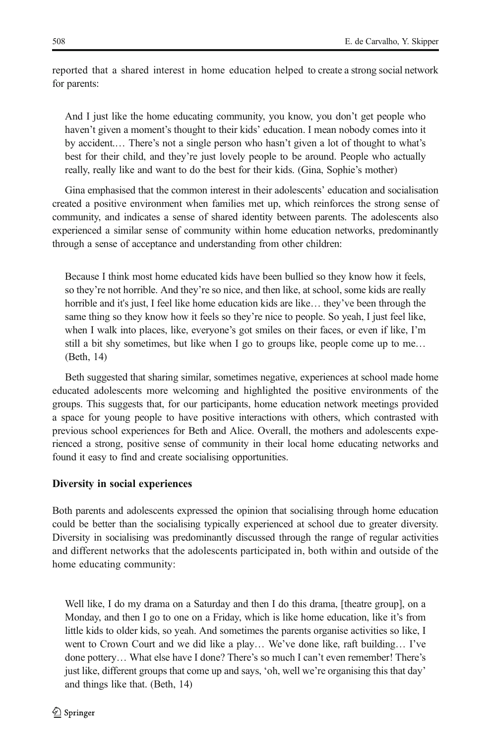reported that a shared interest in home education helped to create a strong social network for parents:

And I just like the home educating community, you know, you don't get people who haven't given a moment's thought to their kids' education. I mean nobody comes into it by accident.… There's not a single person who hasn't given a lot of thought to what's best for their child, and they're just lovely people to be around. People who actually really, really like and want to do the best for their kids. (Gina, Sophie's mother)

Gina emphasised that the common interest in their adolescents' education and socialisation created a positive environment when families met up, which reinforces the strong sense of community, and indicates a sense of shared identity between parents. The adolescents also experienced a similar sense of community within home education networks, predominantly through a sense of acceptance and understanding from other children:

Because I think most home educated kids have been bullied so they know how it feels, so they're not horrible. And they're so nice, and then like, at school, some kids are really horrible and it's just, I feel like home education kids are like... they've been through the same thing so they know how it feels so they're nice to people. So yeah, I just feel like, when I walk into places, like, everyone's got smiles on their faces, or even if like, I'm still a bit shy sometimes, but like when I go to groups like, people come up to me… (Beth, 14)

Beth suggested that sharing similar, sometimes negative, experiences at school made home educated adolescents more welcoming and highlighted the positive environments of the groups. This suggests that, for our participants, home education network meetings provided a space for young people to have positive interactions with others, which contrasted with previous school experiences for Beth and Alice. Overall, the mothers and adolescents experienced a strong, positive sense of community in their local home educating networks and found it easy to find and create socialising opportunities.

#### Diversity in social experiences

Both parents and adolescents expressed the opinion that socialising through home education could be better than the socialising typically experienced at school due to greater diversity. Diversity in socialising was predominantly discussed through the range of regular activities and different networks that the adolescents participated in, both within and outside of the home educating community:

Well like, I do my drama on a Saturday and then I do this drama, [theatre group], on a Monday, and then I go to one on a Friday, which is like home education, like it's from little kids to older kids, so yeah. And sometimes the parents organise activities so like, I went to Crown Court and we did like a play… We've done like, raft building… I've done pottery… What else have I done? There's so much I can't even remember! There's just like, different groups that come up and says, 'oh, well we're organising this that day' and things like that. (Beth, 14)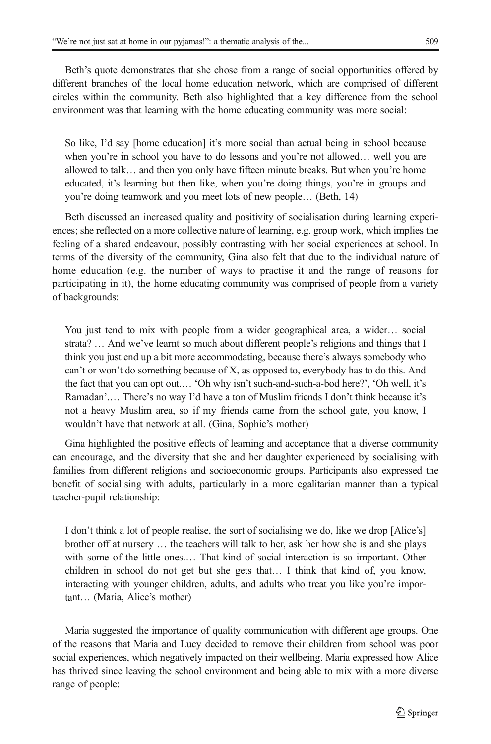Beth's quote demonstrates that she chose from a range of social opportunities offered by different branches of the local home education network, which are comprised of different circles within the community. Beth also highlighted that a key difference from the school environment was that learning with the home educating community was more social:

So like, I'd say [home education] it's more social than actual being in school because when you're in school you have to do lessons and you're not allowed… well you are allowed to talk… and then you only have fifteen minute breaks. But when you're home educated, it's learning but then like, when you're doing things, you're in groups and you're doing teamwork and you meet lots of new people… (Beth, 14)

Beth discussed an increased quality and positivity of socialisation during learning experiences; she reflected on a more collective nature of learning, e.g. group work, which implies the feeling of a shared endeavour, possibly contrasting with her social experiences at school. In terms of the diversity of the community, Gina also felt that due to the individual nature of home education (e.g. the number of ways to practise it and the range of reasons for participating in it), the home educating community was comprised of people from a variety of backgrounds:

You just tend to mix with people from a wider geographical area, a wider… social strata? … And we've learnt so much about different people's religions and things that I think you just end up a bit more accommodating, because there's always somebody who can't or won't do something because of X, as opposed to, everybody has to do this. And the fact that you can opt out.… 'Oh why isn't such-and-such-a-bod here?', 'Oh well, it's Ramadan'.… There's no way I'd have a ton of Muslim friends I don't think because it's not a heavy Muslim area, so if my friends came from the school gate, you know, I wouldn't have that network at all. (Gina, Sophie's mother)

Gina highlighted the positive effects of learning and acceptance that a diverse community can encourage, and the diversity that she and her daughter experienced by socialising with families from different religions and socioeconomic groups. Participants also expressed the benefit of socialising with adults, particularly in a more egalitarian manner than a typical teacher-pupil relationship:

I don't think a lot of people realise, the sort of socialising we do, like we drop [Alice's] brother off at nursery … the teachers will talk to her, ask her how she is and she plays with some of the little ones.… That kind of social interaction is so important. Other children in school do not get but she gets that… I think that kind of, you know, interacting with younger children, adults, and adults who treat you like you're important… (Maria, Alice's mother)

Maria suggested the importance of quality communication with different age groups. One of the reasons that Maria and Lucy decided to remove their children from school was poor social experiences, which negatively impacted on their wellbeing. Maria expressed how Alice has thrived since leaving the school environment and being able to mix with a more diverse range of people: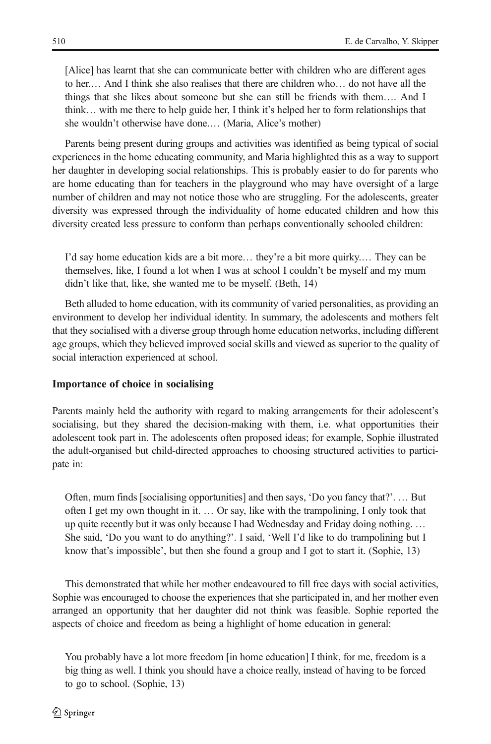[Alice] has learnt that she can communicate better with children who are different ages to her.… And I think she also realises that there are children who… do not have all the things that she likes about someone but she can still be friends with them…. And I think… with me there to help guide her, I think it's helped her to form relationships that she wouldn't otherwise have done.… (Maria, Alice's mother)

Parents being present during groups and activities was identified as being typical of social experiences in the home educating community, and Maria highlighted this as a way to support her daughter in developing social relationships. This is probably easier to do for parents who are home educating than for teachers in the playground who may have oversight of a large number of children and may not notice those who are struggling. For the adolescents, greater diversity was expressed through the individuality of home educated children and how this diversity created less pressure to conform than perhaps conventionally schooled children:

I'd say home education kids are a bit more… they're a bit more quirky.… They can be themselves, like, I found a lot when I was at school I couldn't be myself and my mum didn't like that, like, she wanted me to be myself. (Beth, 14)

Beth alluded to home education, with its community of varied personalities, as providing an environment to develop her individual identity. In summary, the adolescents and mothers felt that they socialised with a diverse group through home education networks, including different age groups, which they believed improved social skills and viewed as superior to the quality of social interaction experienced at school.

## Importance of choice in socialising

Parents mainly held the authority with regard to making arrangements for their adolescent's socialising, but they shared the decision-making with them, i.e. what opportunities their adolescent took part in. The adolescents often proposed ideas; for example, Sophie illustrated the adult-organised but child-directed approaches to choosing structured activities to participate in:

Often, mum finds [socialising opportunities] and then says, 'Do you fancy that?'. … But often I get my own thought in it. … Or say, like with the trampolining, I only took that up quite recently but it was only because I had Wednesday and Friday doing nothing. … She said, 'Do you want to do anything?'. I said, 'Well I'd like to do trampolining but I know that's impossible', but then she found a group and I got to start it. (Sophie, 13)

This demonstrated that while her mother endeavoured to fill free days with social activities, Sophie was encouraged to choose the experiences that she participated in, and her mother even arranged an opportunity that her daughter did not think was feasible. Sophie reported the aspects of choice and freedom as being a highlight of home education in general:

You probably have a lot more freedom [in home education] I think, for me, freedom is a big thing as well. I think you should have a choice really, instead of having to be forced to go to school. (Sophie, 13)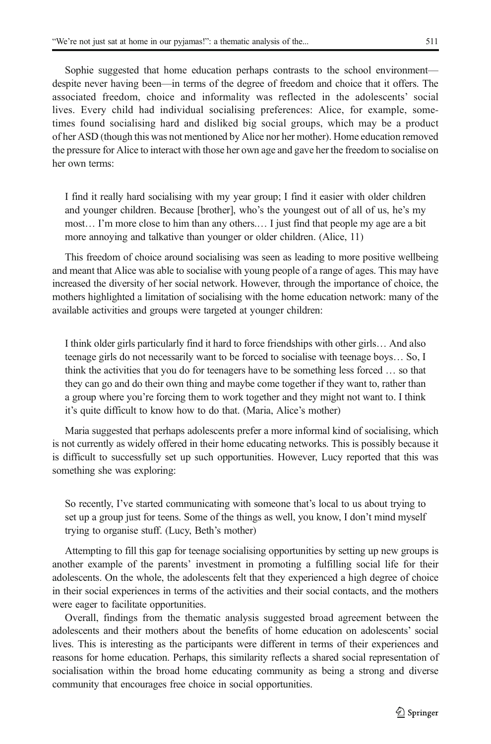Sophie suggested that home education perhaps contrasts to the school environment despite never having been—in terms of the degree of freedom and choice that it offers. The associated freedom, choice and informality was reflected in the adolescents' social lives. Every child had individual socialising preferences: Alice, for example, sometimes found socialising hard and disliked big social groups, which may be a product of her ASD (though this was not mentioned by Alice nor her mother). Home education removed the pressure for Alice to interact with those her own age and gave her the freedom to socialise on her own terms:

I find it really hard socialising with my year group; I find it easier with older children and younger children. Because [brother], who's the youngest out of all of us, he's my most… I'm more close to him than any others.… I just find that people my age are a bit more annoying and talkative than younger or older children. (Alice, 11)

This freedom of choice around socialising was seen as leading to more positive wellbeing and meant that Alice was able to socialise with young people of a range of ages. This may have increased the diversity of her social network. However, through the importance of choice, the mothers highlighted a limitation of socialising with the home education network: many of the available activities and groups were targeted at younger children:

I think older girls particularly find it hard to force friendships with other girls… And also teenage girls do not necessarily want to be forced to socialise with teenage boys… So, I think the activities that you do for teenagers have to be something less forced … so that they can go and do their own thing and maybe come together if they want to, rather than a group where you're forcing them to work together and they might not want to. I think it's quite difficult to know how to do that. (Maria, Alice's mother)

Maria suggested that perhaps adolescents prefer a more informal kind of socialising, which is not currently as widely offered in their home educating networks. This is possibly because it is difficult to successfully set up such opportunities. However, Lucy reported that this was something she was exploring:

So recently, I've started communicating with someone that's local to us about trying to set up a group just for teens. Some of the things as well, you know, I don't mind myself trying to organise stuff. (Lucy, Beth's mother)

Attempting to fill this gap for teenage socialising opportunities by setting up new groups is another example of the parents' investment in promoting a fulfilling social life for their adolescents. On the whole, the adolescents felt that they experienced a high degree of choice in their social experiences in terms of the activities and their social contacts, and the mothers were eager to facilitate opportunities.

Overall, findings from the thematic analysis suggested broad agreement between the adolescents and their mothers about the benefits of home education on adolescents' social lives. This is interesting as the participants were different in terms of their experiences and reasons for home education. Perhaps, this similarity reflects a shared social representation of socialisation within the broad home educating community as being a strong and diverse community that encourages free choice in social opportunities.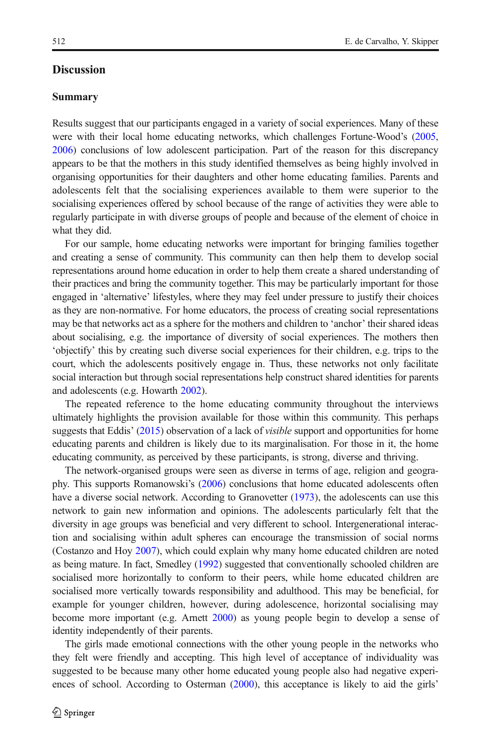## **Discussion**

## Summary

Results suggest that our participants engaged in a variety of social experiences. Many of these were with their local home educating networks, which challenges Fortune-Wood's ([2005](#page-14-0), [2006](#page-14-0)) conclusions of low adolescent participation. Part of the reason for this discrepancy appears to be that the mothers in this study identified themselves as being highly involved in organising opportunities for their daughters and other home educating families. Parents and adolescents felt that the socialising experiences available to them were superior to the socialising experiences offered by school because of the range of activities they were able to regularly participate in with diverse groups of people and because of the element of choice in what they did.

For our sample, home educating networks were important for bringing families together and creating a sense of community. This community can then help them to develop social representations around home education in order to help them create a shared understanding of their practices and bring the community together. This may be particularly important for those engaged in 'alternative' lifestyles, where they may feel under pressure to justify their choices as they are non-normative. For home educators, the process of creating social representations may be that networks act as a sphere for the mothers and children to 'anchor' their shared ideas about socialising, e.g. the importance of diversity of social experiences. The mothers then 'objectify' this by creating such diverse social experiences for their children, e.g. trips to the court, which the adolescents positively engage in. Thus, these networks not only facilitate social interaction but through social representations help construct shared identities for parents and adolescents (e.g. Howarth [2002](#page-14-0)).

The repeated reference to the home educating community throughout the interviews ultimately highlights the provision available for those within this community. This perhaps suggests that Eddis' [\(2015\)](#page-14-0) observation of a lack of *visible* support and opportunities for home educating parents and children is likely due to its marginalisation. For those in it, the home educating community, as perceived by these participants, is strong, diverse and thriving.

The network-organised groups were seen as diverse in terms of age, religion and geography. This supports Romanowski's ([2006](#page-14-0)) conclusions that home educated adolescents often have a diverse social network. According to Granovetter [\(1973\)](#page-14-0), the adolescents can use this network to gain new information and opinions. The adolescents particularly felt that the diversity in age groups was beneficial and very different to school. Intergenerational interaction and socialising within adult spheres can encourage the transmission of social norms (Costanzo and Hoy [2007\)](#page-14-0), which could explain why many home educated children are noted as being mature. In fact, Smedley [\(1992\)](#page-15-0) suggested that conventionally schooled children are socialised more horizontally to conform to their peers, while home educated children are socialised more vertically towards responsibility and adulthood. This may be beneficial, for example for younger children, however, during adolescence, horizontal socialising may become more important (e.g. Arnett [2000\)](#page-13-0) as young people begin to develop a sense of identity independently of their parents.

The girls made emotional connections with the other young people in the networks who they felt were friendly and accepting. This high level of acceptance of individuality was suggested to be because many other home educated young people also had negative experiences of school. According to Osterman [\(2000](#page-14-0)), this acceptance is likely to aid the girls'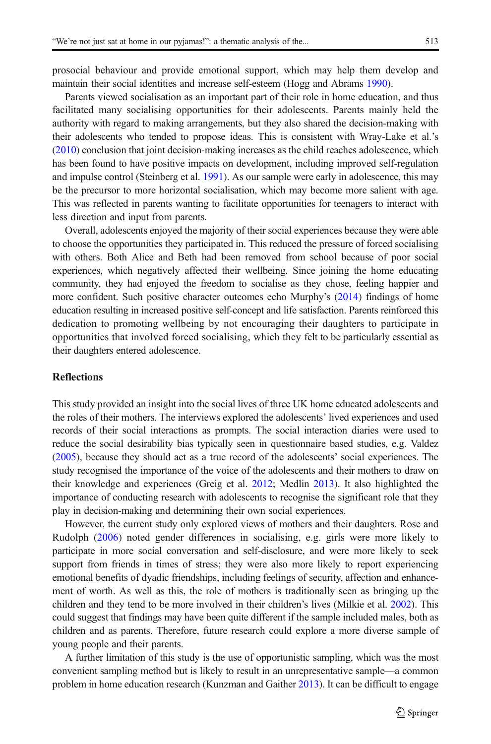prosocial behaviour and provide emotional support, which may help them develop and maintain their social identities and increase self-esteem (Hogg and Abrams [1990\)](#page-14-0).

Parents viewed socialisation as an important part of their role in home education, and thus facilitated many socialising opportunities for their adolescents. Parents mainly held the authority with regard to making arrangements, but they also shared the decision-making with their adolescents who tended to propose ideas. This is consistent with Wray-Lake et al.'s ([2010](#page-15-0)) conclusion that joint decision-making increases as the child reaches adolescence, which has been found to have positive impacts on development, including improved self-regulation and impulse control (Steinberg et al. [1991](#page-15-0)). As our sample were early in adolescence, this may be the precursor to more horizontal socialisation, which may become more salient with age. This was reflected in parents wanting to facilitate opportunities for teenagers to interact with less direction and input from parents.

Overall, adolescents enjoyed the majority of their social experiences because they were able to choose the opportunities they participated in. This reduced the pressure of forced socialising with others. Both Alice and Beth had been removed from school because of poor social experiences, which negatively affected their wellbeing. Since joining the home educating community, they had enjoyed the freedom to socialise as they chose, feeling happier and more confident. Such positive character outcomes echo Murphy's [\(2014\)](#page-14-0) findings of home education resulting in increased positive self-concept and life satisfaction. Parents reinforced this dedication to promoting wellbeing by not encouraging their daughters to participate in opportunities that involved forced socialising, which they felt to be particularly essential as their daughters entered adolescence.

# **Reflections**

This study provided an insight into the social lives of three UK home educated adolescents and the roles of their mothers. The interviews explored the adolescents' lived experiences and used records of their social interactions as prompts. The social interaction diaries were used to reduce the social desirability bias typically seen in questionnaire based studies, e.g. Valdez ([2005](#page-15-0)), because they should act as a true record of the adolescents' social experiences. The study recognised the importance of the voice of the adolescents and their mothers to draw on their knowledge and experiences (Greig et al. [2012](#page-14-0); Medlin [2013](#page-14-0)). It also highlighted the importance of conducting research with adolescents to recognise the significant role that they play in decision-making and determining their own social experiences.

However, the current study only explored views of mothers and their daughters. Rose and Rudolph ([2006](#page-14-0)) noted gender differences in socialising, e.g. girls were more likely to participate in more social conversation and self-disclosure, and were more likely to seek support from friends in times of stress; they were also more likely to report experiencing emotional benefits of dyadic friendships, including feelings of security, affection and enhancement of worth. As well as this, the role of mothers is traditionally seen as bringing up the children and they tend to be more involved in their children's lives (Milkie et al. [2002](#page-14-0)). This could suggest that findings may have been quite different if the sample included males, both as children and as parents. Therefore, future research could explore a more diverse sample of young people and their parents.

A further limitation of this study is the use of opportunistic sampling, which was the most convenient sampling method but is likely to result in an unrepresentative sample—a common problem in home education research (Kunzman and Gaither [2013\)](#page-14-0). It can be difficult to engage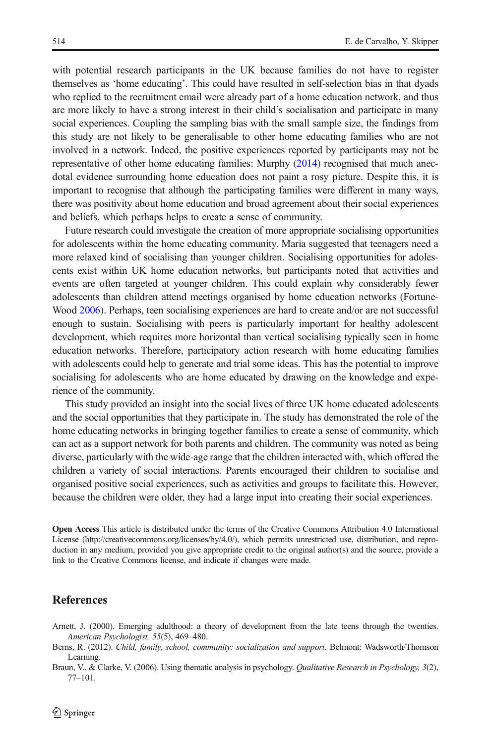<span id="page-13-0"></span>with potential research participants in the UK because families do not have to register themselves as 'home educating'. This could have resulted in self-selection bias in that dyads who replied to the recruitment email were already part of a home education network, and thus are more likely to have a strong interest in their child's socialisation and participate in many social experiences. Coupling the sampling bias with the small sample size, the findings from this study are not likely to be generalisable to other home educating families who are not involved in a network. Indeed, the positive experiences reported by participants may not be representative of other home educating families: Murphy ([2014](#page-14-0)) recognised that much anecdotal evidence surrounding home education does not paint a rosy picture. Despite this, it is important to recognise that although the participating families were different in many ways, there was positivity about home education and broad agreement about their social experiences and beliefs, which perhaps helps to create a sense of community.

Future research could investigate the creation of more appropriate socialising opportunities for adolescents within the home educating community. Maria suggested that teenagers need a more relaxed kind of socialising than younger children. Socialising opportunities for adolescents exist within UK home education networks, but participants noted that activities and events are often targeted at younger children. This could explain why considerably fewer adolescents than children attend meetings organised by home education networks (Fortune-Wood [2006\)](#page-14-0). Perhaps, teen socialising experiences are hard to create and/or are not successful enough to sustain. Socialising with peers is particularly important for healthy adolescent development, which requires more horizontal than vertical socialising typically seen in home education networks. Therefore, participatory action research with home educating families with adolescents could help to generate and trial some ideas. This has the potential to improve socialising for adolescents who are home educated by drawing on the knowledge and experience of the community.

This study provided an insight into the social lives of three UK home educated adolescents and the social opportunities that they participate in. The study has demonstrated the role of the home educating networks in bringing together families to create a sense of community, which can act as a support network for both parents and children. The community was noted as being diverse, particularly with the wide-age range that the children interacted with, which offered the children a variety of social interactions. Parents encouraged their children to socialise and organised positive social experiences, such as activities and groups to facilitate this. However, because the children were older, they had a large input into creating their social experiences.

Open Access This article is distributed under the terms of the Creative Commons Attribution 4.0 International License (http://creativecommons.org/licenses/by/4.0/), which permits unrestricted use, distribution, and reproduction in any medium, provided you give appropriate credit to the original author(s) and the source, provide a link to the Creative Commons license, and indicate if changes were made.

# **References**

Arnett, J. (2000). Emerging adulthood: a theory of development from the late teens through the twenties. American Psychologist, 55(5), 469–480.

Berns, R. (2012). Child, family, school, community: socialization and support. Belmont: Wadsworth/Thomson Learning.

Braun, V., & Clarke, V. (2006). Using thematic analysis in psychology. Qualitative Research in Psychology, 3(2), 77–101.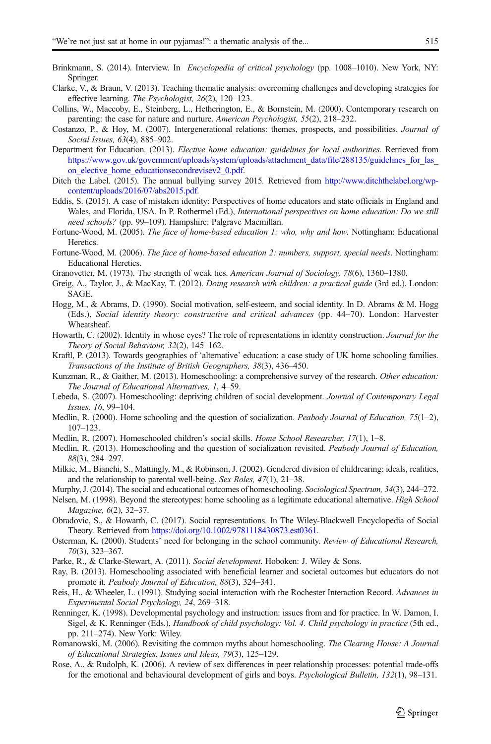- <span id="page-14-0"></span>Brinkmann, S. (2014). Interview. In *Encyclopedia of critical psychology* (pp. 1008–1010). New York, NY: Springer.
- Clarke, V., & Braun, V. (2013). Teaching thematic analysis: overcoming challenges and developing strategies for effective learning. The Psychologist, 26(2), 120–123.
- Collins, W., Maccoby, E., Steinberg, L., Hetherington, E., & Bornstein, M. (2000). Contemporary research on parenting: the case for nature and nurture. American Psychologist, 55(2), 218–232.
- Costanzo, P., & Hoy, M. (2007). Intergenerational relations: themes, prospects, and possibilities. Journal of Social Issues, 63(4), 885–902.
- Department for Education. (2013). Elective home education: guidelines for local authorities. Retrieved from https://www.gov.uk/government/uploads/system/uploads/attachment\_data/file/288135/guidelines\_for\_las on elective home educationsecondrevisev2 0.pdf.
- Ditch the Label. (2015). The annual bullying survey 2015. Retrieved from [http://www.ditchthelabel.org/wp](http://www.ditchthelabel.org/wp-content/uploads/2016/07/abs2015.pdf)[content/uploads/2016/07/abs2015.pdf](http://www.ditchthelabel.org/wp-content/uploads/2016/07/abs2015.pdf).
- Eddis, S. (2015). A case of mistaken identity: Perspectives of home educators and state officials in England and Wales, and Florida, USA. In P. Rothermel (Ed.), International perspectives on home education: Do we still need schools? (pp. 99-109). Hampshire: Palgrave Macmillan.
- Fortune-Wood, M. (2005). The face of home-based education 1: who, why and how. Nottingham: Educational Heretics.
- Fortune-Wood, M. (2006). The face of home-based education 2: numbers, support, special needs. Nottingham: Educational Heretics.
- Granovetter, M. (1973). The strength of weak ties. American Journal of Sociology, 78(6), 1360–1380.
- Greig, A., Taylor, J., & MacKay, T. (2012). Doing research with children: a practical guide (3rd ed.). London: SAGE.
- Hogg, M., & Abrams, D. (1990). Social motivation, self-esteem, and social identity. In D. Abrams & M. Hogg (Eds.), Social identity theory: constructive and critical advances (pp. 44–70). London: Harvester Wheatsheaf.
- Howarth, C. (2002). Identity in whose eyes? The role of representations in identity construction. Journal for the Theory of Social Behaviour, 32(2), 145–162.
- Kraftl, P. (2013). Towards geographies of 'alternative' education: a case study of UK home schooling families. Transactions of the Institute of British Geographers, 38(3), 436–450.
- Kunzman, R., & Gaither, M. (2013). Homeschooling: a comprehensive survey of the research. Other education: The Journal of Educational Alternatives, 1, 4–59.
- Lebeda, S. (2007). Homeschooling: depriving children of social development. Journal of Contemporary Legal Issues, 16, 99–104.
- Medlin, R. (2000). Home schooling and the question of socialization. *Peabody Journal of Education*, 75(1–2), 107–123.
- Medlin, R. (2007). Homeschooled children's social skills. Home School Researcher, 17(1), 1–8.
- Medlin, R. (2013). Homeschooling and the question of socialization revisited. Peabody Journal of Education, 88(3), 284–297.
- Milkie, M., Bianchi, S., Mattingly, M., & Robinson, J. (2002). Gendered division of childrearing: ideals, realities, and the relationship to parental well-being. Sex Roles, 47(1), 21–38.
- Murphy, J. (2014). The social and educational outcomes of homeschooling. Sociological Spectrum, 34(3), 244–272.
- Nelsen, M. (1998). Beyond the stereotypes: home schooling as a legitimate educational alternative. High School Magazine, 6(2), 32–37.
- Obradovic, S., & Howarth, C. (2017). Social representations. In The Wiley-Blackwell Encyclopedia of Social Theory. Retrieved from [https://doi.org/10.1002/9781118430873.est0361.](https://doi.org/10.1002/9781118430873.est0361)
- Osterman, K. (2000). Students' need for belonging in the school community. Review of Educational Research, 70(3), 323–367.
- Parke, R., & Clarke-Stewart, A. (2011). Social development. Hoboken: J. Wiley & Sons.
- Ray, B. (2013). Homeschooling associated with beneficial learner and societal outcomes but educators do not promote it. Peabody Journal of Education, 88(3), 324–341.
- Reis, H., & Wheeler, L. (1991). Studying social interaction with the Rochester Interaction Record. Advances in Experimental Social Psychology, 24, 269–318.
- Renninger, K. (1998). Developmental psychology and instruction: issues from and for practice. In W. Damon, I. Sigel, & K. Renninger (Eds.), Handbook of child psychology: Vol. 4. Child psychology in practice (5th ed., pp. 211–274). New York: Wiley.
- Romanowski, M. (2006). Revisiting the common myths about homeschooling. The Clearing House: A Journal of Educational Strategies, Issues and Ideas, 79(3), 125–129.
- Rose, A., & Rudolph, K. (2006). A review of sex differences in peer relationship processes: potential trade-offs for the emotional and behavioural development of girls and boys. Psychological Bulletin, 132(1), 98–131.